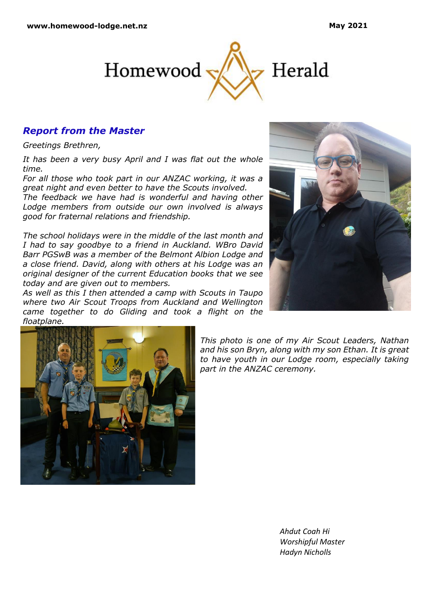

# *Report from the Master*

*Greetings Brethren,*

*It has been a very busy April and I was flat out the whole time.* 

*For all those who took part in our ANZAC working, it was a great night and even better to have the Scouts involved. The feedback we have had is wonderful and having other Lodge members from outside our own involved is always good for fraternal relations and friendship.*

*The school holidays were in the middle of the last month and I had to say goodbye to a friend in Auckland. WBro David Barr PGSwB was a member of the Belmont Albion Lodge and a close friend. David, along with others at his Lodge was an original designer of the current Education books that we see today and are given out to members.* 

*As well as this I then attended a camp with Scouts in Taupo where two Air Scout Troops from Auckland and Wellington came together to do Gliding and took a flight on the floatplane.*





*This photo is one of my Air Scout Leaders, Nathan and his son Bryn, along with my son Ethan. It is great to have youth in our Lodge room, especially taking part in the ANZAC ceremony.*

> *Ahdut Coah Hi Worshipful Master Hadyn Nicholls*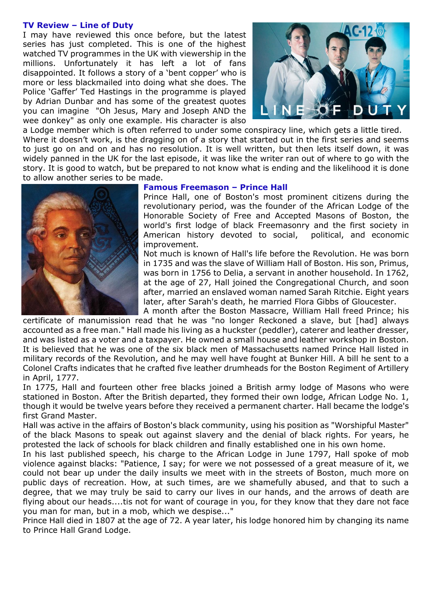### **TV Review – Line of Duty**

I may have reviewed this once before, but the latest series has just completed. This is one of the highest watched TV programmes in the UK with viewership in the millions. Unfortunately it has left a lot of fans disappointed. It follows a story of a 'bent copper' who is more or less blackmailed into doing what she does. The Police 'Gaffer' Ted Hastings in the programme is played by Adrian Dunbar and has some of the greatest quotes you can imagine "Oh Jesus, Mary and Joseph AND the wee donkey" as only one example. His character is also



a Lodge member which is often referred to under some conspiracy line, which gets a little tired. Where it doesn't work, is the dragging on of a story that started out in the first series and seems to just go on and on and has no resolution. It is well written, but then lets itself down, it was widely panned in the UK for the last episode, it was like the writer ran out of where to go with the story. It is good to watch, but be prepared to not know what is ending and the likelihood it is done to allow another series to be made.



#### **Famous Freemason – Prince Hall**

Prince Hall, one of Boston's most prominent citizens during the revolutionary period, was the founder of the African Lodge of the Honorable Society of Free and Accepted Masons of Boston, the world's first lodge of black Freemasonry and the first society in American history devoted to social, political, and economic improvement.

Not much is known of Hall's life before the Revolution. He was born in 1735 and was the slave of William Hall of Boston. His son, Primus, was born in 1756 to Delia, a servant in another household. In 1762, at the age of 27, Hall joined the Congregational Church, and soon after, married an enslaved woman named Sarah Ritchie. Eight years later, after Sarah's death, he married Flora Gibbs of Gloucester. A month after the Boston Massacre, William Hall freed Prince; his

certificate of manumission read that he was "no longer Reckoned a slave, but [had] always accounted as a free man." Hall made his living as a huckster (peddler), caterer and leather dresser, and was listed as a voter and a taxpayer. He owned a small house and leather workshop in Boston. It is believed that he was one of the six black men of Massachusetts named Prince Hall listed in military records of the Revolution, and he may well have fought at Bunker Hill. A bill he sent to a Colonel Crafts indicates that he crafted five leather drumheads for the Boston Regiment of Artillery in April, 1777.

In 1775, Hall and fourteen other free blacks joined a British army lodge of Masons who were stationed in Boston. After the British departed, they formed their own lodge, African Lodge No. 1, though it would be twelve years before they received a permanent charter. Hall became the lodge's first Grand Master.

Hall was active in the affairs of Boston's black community, using his position as "Worshipful Master" of the black Masons to speak out against slavery and the denial of black rights. For years, he protested the lack of schools for black children and finally established one in his own home.

In his last published speech, his charge to the African Lodge in June 1797, Hall spoke of mob violence against blacks: "Patience, I say; for were we not possessed of a great measure of it, we could not bear up under the daily insults we meet with in the streets of Boston, much more on public days of recreation. How, at such times, are we shamefully abused, and that to such a degree, that we may truly be said to carry our lives in our hands, and the arrows of death are flying about our heads....tis not for want of courage in you, for they know that they dare not face you man for man, but in a mob, which we despise..."

Prince Hall died in 1807 at the age of 72. A year later, his lodge honored him by changing its name to Prince Hall Grand Lodge.